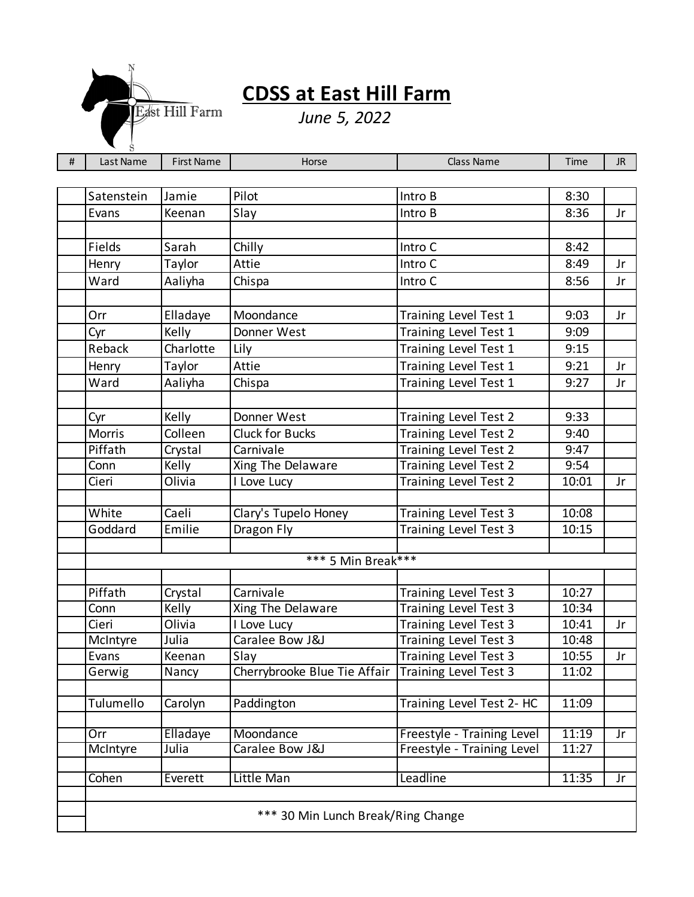

## **CDSS at East Hill Farm**

*June 5, 2022*

| $\#$ | Last Name          | <b>First Name</b> | Horse                              | Class Name                                     | Time           | JR. |  |  |  |
|------|--------------------|-------------------|------------------------------------|------------------------------------------------|----------------|-----|--|--|--|
|      |                    |                   |                                    |                                                |                |     |  |  |  |
|      | Satenstein         | Jamie             | Pilot                              | Intro B                                        | 8:30           |     |  |  |  |
|      | Evans              | Keenan            | Slay                               | Intro B                                        | 8:36           | Jr  |  |  |  |
|      |                    |                   |                                    |                                                |                |     |  |  |  |
|      | Fields             | Sarah             | Chilly                             | Intro C                                        | 8:42           |     |  |  |  |
|      | Henry              | Taylor            | Attie                              | Intro C                                        | 8:49           | Jr  |  |  |  |
|      | Ward               | Aaliyha           | Chispa                             | Intro C                                        | 8:56           | Jr  |  |  |  |
|      |                    |                   |                                    |                                                |                |     |  |  |  |
|      | Orr                | Elladaye          | Moondance                          | Training Level Test 1                          | 9:03           | Jr  |  |  |  |
|      | Cyr                | Kelly             | Donner West                        | Training Level Test 1                          | 9:09           |     |  |  |  |
|      | Reback             | Charlotte         | Lily                               | Training Level Test 1                          | 9:15           |     |  |  |  |
|      | Henry              | Taylor            | Attie                              | Training Level Test 1                          | 9:21           | Jr  |  |  |  |
|      | Ward               | Aaliyha           | Chispa                             | Training Level Test 1                          | 9:27           | Jr  |  |  |  |
|      |                    |                   |                                    |                                                |                |     |  |  |  |
|      | Cyr                | Kelly             | Donner West                        | Training Level Test 2                          | 9:33           |     |  |  |  |
|      | Morris             | Colleen           | <b>Cluck for Bucks</b>             | Training Level Test 2                          | 9:40           |     |  |  |  |
|      | Piffath            | Crystal           | Carnivale                          | Training Level Test 2                          | 9:47           |     |  |  |  |
|      | Conn               | Kelly             | Xing The Delaware                  | Training Level Test 2                          | 9:54           |     |  |  |  |
|      | Cieri              | Olivia            | I Love Lucy                        | Training Level Test 2                          | 10:01          | Jr  |  |  |  |
|      |                    | Caeli             |                                    |                                                |                |     |  |  |  |
|      | White<br>Goddard   | Emilie            | Clary's Tupelo Honey<br>Dragon Fly | Training Level Test 3<br>Training Level Test 3 | 10:08<br>10:15 |     |  |  |  |
|      |                    |                   |                                    |                                                |                |     |  |  |  |
|      | *** 5 Min Break*** |                   |                                    |                                                |                |     |  |  |  |
|      |                    |                   |                                    |                                                |                |     |  |  |  |
|      | Piffath            | Crystal           | Carnivale                          | Training Level Test 3                          | 10:27          |     |  |  |  |
|      | Conn               | Kelly             | Xing The Delaware                  | Training Level Test 3                          | 10:34          |     |  |  |  |
|      | Cieri              | Olivia            | I Love Lucy                        | Training Level Test 3                          | 10:41          | Jr  |  |  |  |
|      | McIntyre           | Julia             | Caralee Bow J&J                    | <b>Training Level Test 3</b>                   | 10:48          |     |  |  |  |
|      | Evans              | Keenan            | Slay                               | Training Level Test 3                          | 10:55          | Jr  |  |  |  |
|      | Gerwig             | Nancy             | Cherrybrooke Blue Tie Affair       | Training Level Test 3                          | 11:02          |     |  |  |  |
|      |                    |                   |                                    |                                                |                |     |  |  |  |
|      | Tulumello          | Carolyn           | Paddington                         | Training Level Test 2- HC                      | 11:09          |     |  |  |  |
|      | Orr                | Elladaye          | Moondance                          | Freestyle - Training Level                     | 11:19          | Jr  |  |  |  |
|      | McIntyre           | Julia             | Caralee Bow J&J                    | Freestyle - Training Level                     | 11:27          |     |  |  |  |
|      |                    |                   |                                    |                                                |                |     |  |  |  |
|      | Cohen              | Everett           | Little Man                         | Leadline                                       | 11:35          | Jr  |  |  |  |